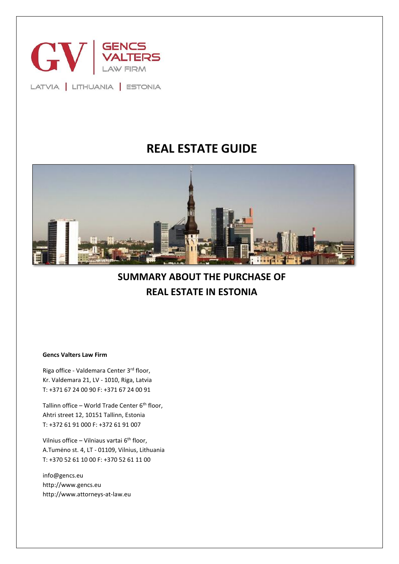

LATVIA | LITHUANIA | ESTONIA

# **REAL ESTATE GUIDE**



**SUMMARY ABOUT THE PURCHASE OF REAL ESTATE IN ESTONIA**

**Gencs Valters Law Firm** 

Riga office - Valdemara Center 3rd floor, Kr. Valdemara 21, LV - 1010, Riga, Latvia T: +371 67 24 00 90 F: +371 67 24 00 91

Tallinn office – World Trade Center  $6<sup>th</sup>$  floor, Ahtri street 12, 10151 Tallinn, Estonia T: +372 61 91 000 F: +372 61 91 007

Vilnius office – Vilniaus vartai 6<sup>th</sup> floor, A.Tumėno st. 4, LT - 01109, Vilnius, Lithuania T: +370 52 61 10 00 F: +370 52 61 11 00

info@gencs.eu http://www.gencs.eu http://www.attorneys-at-law.eu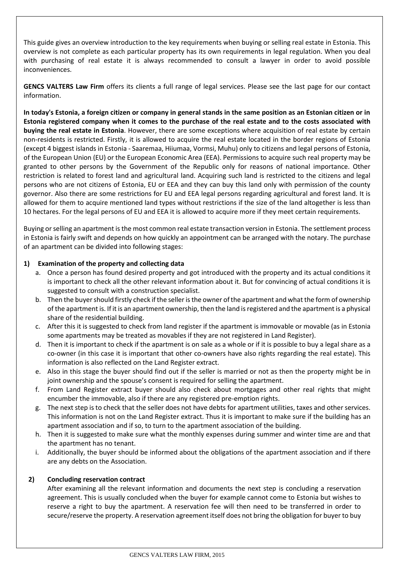This guide gives an overview introduction to the key requirements when buying or selling real estate in Estonia. This overview is not complete as each particular property has its own requirements in legal regulation. When you deal with purchasing of real estate it is always recommended to consult a lawyer in order to avoid possible inconveniences.

**GENCS VALTERS Law Firm** offers its clients a full range of legal services. Please see the last page for our contact information.

**In today's Estonia, a foreign citizen or company in general stands in the same position as an Estonian citizen or in Estonia registered company when it comes to the purchase of the real estate and to the costs associated with buying the real estate in Estonia**. However, there are some exceptions where acquisition of real estate by certain non-residents is restricted. Firstly, it is allowed to acquire the real estate located in the border regions of Estonia (except 4 biggest islands in Estonia - Saaremaa, Hiiumaa, Vormsi, Muhu) only to citizens and legal persons of Estonia, of the European Union (EU) or the European Economic Area (EEA). Permissions to acquire such real property may be granted to other persons by the Government of the Republic only for reasons of national importance. Other restriction is related to forest land and agricultural land. Acquiring such land is restricted to the citizens and legal persons who are not citizens of Estonia, EU or EEA and they can buy this land only with permission of the county governor. Also there are some restrictions for EU and EEA legal persons regarding agricultural and forest land. It is allowed for them to acquire mentioned land types without restrictions if the size of the land altogether is less than 10 hectares. For the legal persons of EU and EEA it is allowed to acquire more if they meet certain requirements.

Buying or selling an apartment is the most common real estate transaction version in Estonia. The settlement process in Estonia is fairly swift and depends on how quickly an appointment can be arranged with the notary. The purchase of an apartment can be divided into following stages:

# **1) Examination of the property and collecting data**

- a. Once a person has found desired property and got introduced with the property and its actual conditions it is important to check all the other relevant information about it. But for convincing of actual conditions it is suggested to consult with a construction specialist.
- b. Then the buyer should firstly check if the seller is the owner of the apartment and what the form of ownership of the apartment is. If it is an apartment ownership, then the land isregistered and the apartment is a physical share of the residential building.
- c. After this it is suggested to check from land register if the apartment is immovable or movable (as in Estonia some apartments may be treated as movables if they are not registered in Land Register).
- d. Then it is important to check if the apartment is on sale as a whole or if it is possible to buy a legal share as a co-owner (in this case it is important that other co-owners have also rights regarding the real estate). This information is also reflected on the Land Register extract.
- e. Also in this stage the buyer should find out if the seller is married or not as then the property might be in joint ownership and the spouse's consent is required for selling the apartment.
- f. From Land Register extract buyer should also check about mortgages and other real rights that might encumber the immovable, also if there are any registered pre-emption rights.
- g. The next step is to check that the seller does not have debts for apartment utilities, taxes and other services. This information is not on the Land Register extract. Thus it is important to make sure if the building has an apartment association and if so, to turn to the apartment association of the building.
- h. Then it is suggested to make sure what the monthly expenses during summer and winter time are and that the apartment has no tenant.
- i. Additionally, the buyer should be informed about the obligations of the apartment association and if there are any debts on the Association.

#### **2) Concluding reservation contract**

After examining all the relevant information and documents the next step is concluding a reservation agreement. This is usually concluded when the buyer for example cannot come to Estonia but wishes to reserve a right to buy the apartment. A reservation fee will then need to be transferred in order to secure/reserve the property. A reservation agreement itself does not bring the obligation for buyer to buy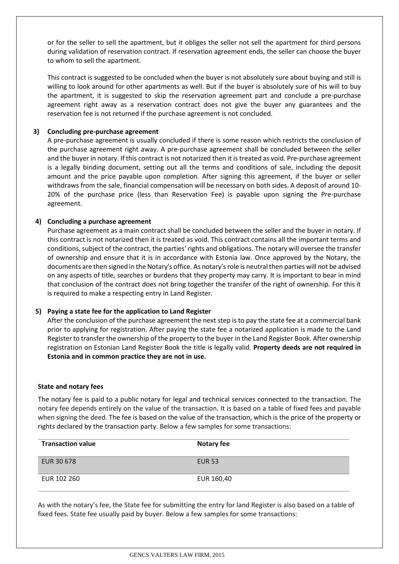or for the seller to sell the apartment, but it obliges the seller not sell the apartment for third persons during validation of reservation contract. If reservation agreement ends, the seller can choose the buyer to whom to sell the apartment.

This contract is suggested to be concluded when the buyer is not absolutely sure about buying and still is willing to look around for other apartments as well. But if the buyer is absolutely sure of his will to buy the apartment, it is suggested to skip the reservation agreement part and conclude a pre-purchase agreement right away as a reservation contract does not give the buyer any guarantees and the reservation fee is not returned if the purchase agreement is not concluded.

### **3) Concluding pre-purchase agreement**

A pre-purchase agreement is usually concluded if there is some reason which restricts the conclusion of the purchase agreement right away. A pre-purchase agreement shall be concluded between the seller and the buyer in notary. If this contract is not notarized then it is treated as void. Pre-purchase agreement is a legally binding document, setting out all the terms and conditions of sale, including the deposit amount and the price payable upon completion. After signing this agreement, if the buyer or seller withdraws from the sale, financial compensation will be necessary on both sides. A deposit of around 10- 20% of the purchase price (less than Reservation Fee) is payable upon signing the Pre-purchase agreement.

### **4) Concluding a purchase agreement**

Purchase agreement as a main contract shall be concluded between the seller and the buyer in notary. If this contract is not notarized then it is treated as void. This contract contains all the important terms and conditions, subject of the contract, the parties' rights and obligations. The notary will oversee the transfer of ownership and ensure that it is in accordance with Estonia law. Once approved by the Notary, the documents are then signed in the Notary's office. As notary's role is neutral then parties will not be advised on any aspects of title, searches or burdens that they property may carry. It is important to bear in mind that conclusion of the contract does not bring together the transfer of the right of ownership. For this it is required to make a respecting entry in Land Register.

# **5) Paying a state fee for the application to Land Register**

After the conclusion of the purchase agreement the next step is to pay the state fee at a commercial bank prior to applying for registration. After paying the state fee a notarized application is made to the Land Register to transfer the ownership of the property to the buyer in the Land Register Book. After ownership registration on Estonian Land Register Book the title is legally valid. **Property deeds are not required in Estonia and in common practice they are not in use.**

#### **State and notary fees**

The notary fee is paid to a public notary for legal and technical services connected to the transaction. The notary fee depends entirely on the value of the transaction. It is based on a table of fixed fees and payable when signing the deed. The fee is based on the value of the transaction, which is the price of the property or rights declared by the transaction party. Below a few samples for some transactions:

| <b>Transaction value</b> | Notary fee    |
|--------------------------|---------------|
| EUR 30 678               | <b>EUR 53</b> |
| EUR 102 260              | EUR 160,40    |

As with the notary's fee, the State fee for submitting the entry for land Register is also based on a table of fixed fees. State fee usually paid by buyer. Below a few samples for some transactions: